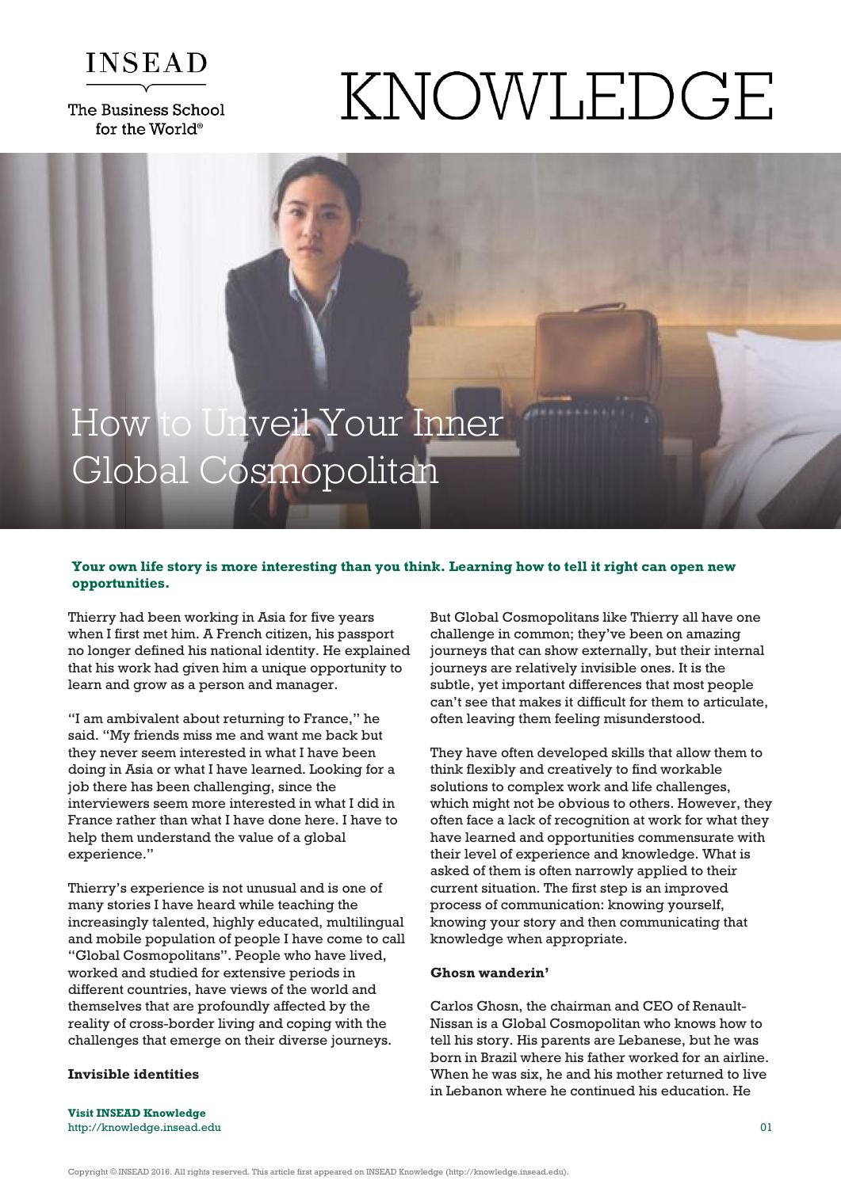

The Business School for the World<sup>®</sup>

# KNOWLEDGE

# How to Unveil Your Inner Global Cosmopolitan

# **Your own life story is more interesting than you think. Learning how to tell it right can open new opportunities.**

Thierry had been working in Asia for five years when I first met him. A French citizen, his passport no longer defined his national identity. He explained that his work had given him a unique opportunity to learn and grow as a person and manager.

"I am ambivalent about returning to France," he said. "My friends miss me and want me back but they never seem interested in what I have been doing in Asia or what I have learned. Looking for a job there has been challenging, since the interviewers seem more interested in what I did in France rather than what I have done here. I have to help them understand the value of a global experience."

Thierry's experience is not unusual and is one of many stories I have heard while teaching the increasingly talented, highly educated, multilingual and mobile population of people I have come to call "Global Cosmopolitans". People who have lived, worked and studied for extensive periods in different countries, have views of the world and themselves that are profoundly affected by the reality of cross-border living and coping with the challenges that emerge on their diverse journeys.

# **Invisible identities**

But Global Cosmopolitans like Thierry all have one challenge in common; they've been on amazing journeys that can show externally, but their internal journeys are relatively invisible ones. It is the subtle, yet important differences that most people can't see that makes it difficult for them to articulate, often leaving them feeling misunderstood.

They have often developed skills that allow them to think flexibly and creatively to find workable solutions to complex work and life challenges, which might not be obvious to others. However, they often face a lack of recognition at work for what they have learned and opportunities commensurate with their level of experience and knowledge. What is asked of them is often narrowly applied to their current situation. The first step is an improved process of communication: knowing yourself, knowing your story and then communicating that knowledge when appropriate.

### **Ghosn wanderin'**

Carlos Ghosn, the chairman and CEO of Renault-Nissan is a Global Cosmopolitan who knows how to tell his story. His parents are Lebanese, but he was born in Brazil where his father worked for an airline. When he was six, he and his mother returned to live in Lebanon where he continued his education. He

**Visit INSEAD Knowledge** http://knowledge.insead.edu 01

Copyright © INSEAD 2016. All rights reserved. This article first appeared on INSEAD Knowledge (http://knowledge.insead.edu).